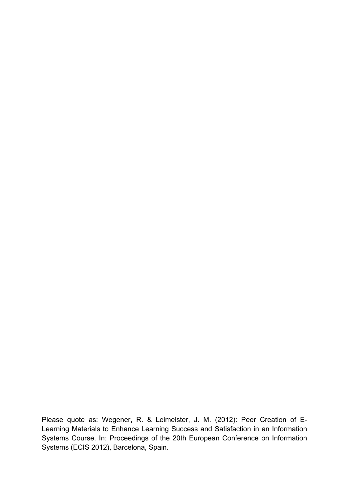Please quote as: Wegener, R. & Leimeister, J. M. (2012): Peer Creation of E-Learning Materials to Enhance Learning Success and Satisfaction in an Information Systems Course. In: Proceedings of the 20th European Conference on Information Systems (ECIS 2012), Barcelona, Spain.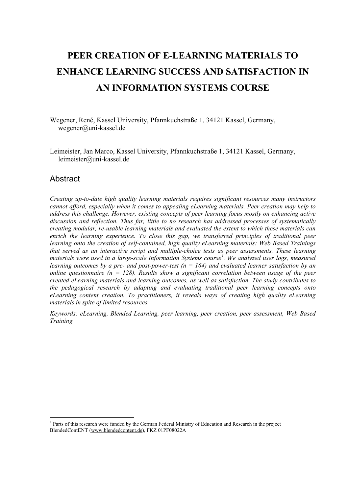# **PEER CREATION OF E-LEARNING MATERIALS TO ENHANCE LEARNING SUCCESS AND SATISFACTION IN AN INFORMATION SYSTEMS COURSE**

Wegener, René, Kassel University, Pfannkuchstraße 1, 34121 Kassel, Germany, wegener@uni-kassel.de

Leimeister, Jan Marco, Kassel University, Pfannkuchstraße 1, 34121 Kassel, Germany, leimeister@uni-kassel.de

#### **Abstract**

*Creating up-to-date high quality learning materials requires significant resources many instructors cannot afford, especially when it comes to appealing eLearning materials. Peer creation may help to address this challenge. However, existing concepts of peer learning focus mostly on enhancing active discussion and reflection. Thus far, little to no research has addressed processes of systematically creating modular, re-usable learning materials and evaluated the extent to which these materials can enrich the learning experience. To close this gap, we transferred principles of traditional peer learning onto the creation of self-contained, high quality eLearning materials: Web Based Trainings that served as an interactive script and multiple-choice tests as peer assessments. These learning materials were used in a large-scale Information Systems course [1](#page-1-0) . We analyzed user logs, measured learning outcomes by a pre- and post-power-test (n = 164) and evaluated learner satisfaction by an online questionnaire (n = 128). Results show a significant correlation between usage of the peer created eLearning materials and learning outcomes, as well as satisfaction. The study contributes to the pedagogical research by adapting and evaluating traditional peer learning concepts onto eLearning content creation. To practitioners, it reveals ways of creating high quality eLearning materials in spite of limited resources.* 

*Keywords: eLearning, Blended Learning, peer learning, peer creation, peer assessment, Web Based Training*

<span id="page-1-0"></span><sup>&</sup>lt;sup>1</sup> Parts of this research were funded by the German Federal Ministry of Education and Research in the project BlendedContENT [\(www.blendedcontent.de\)](http://www.blendedcontent.de/), FKZ 01PF08022A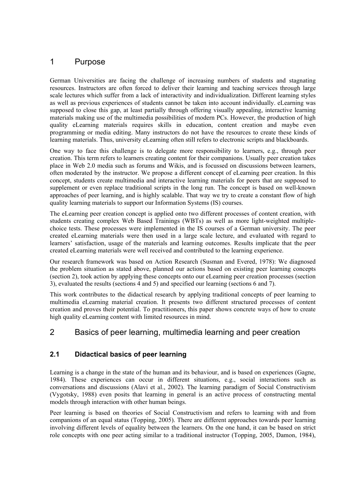# 1 Purpose

German Universities are facing the challenge of increasing numbers of students and stagnating resources. Instructors are often forced to deliver their learning and teaching services through large scale lectures which suffer from a lack of interactivity and individualization. Different learning styles as well as previous experiences of students cannot be taken into account individually. eLearning was supposed to close this gap, at least partially through offering visually appealing, interactive learning materials making use of the multimedia possibilities of modern PCs. However, the production of high quality eLearning materials requires skills in education, content creation and maybe even programming or media editing. Many instructors do not have the resources to create these kinds of learning materials. Thus, university eLearning often still refers to electronic scripts and blackboards.

One way to face this challenge is to delegate more responsibility to learners, e.g., through peer creation. This term refers to learners creating content for their companions. Usually peer creation takes place in Web 2.0 media such as forums and Wikis, and is focussed on discussions between learners, often moderated by the instructor. We propose a different concept of eLearning peer creation. In this concept, students create multimedia and interactive learning materials for peers that are supposed to supplement or even replace traditional scripts in the long run. The concept is based on well-known approaches of peer learning, and is highly scalable. That way we try to create a constant flow of high quality learning materials to support our Information Systems (IS) courses.

The eLearning peer creation concept is applied onto two different processes of content creation, with students creating complex Web Based Trainings (WBTs) as well as more light-weighted multiplechoice tests. These processes were implemented in the IS courses of a German university. The peer created eLearning materials were then used in a large scale lecture, and evaluated with regard to learners' satisfaction, usage of the materials and learning outcomes. Results implicate that the peer created eLearning materials were well received and contributed to the learning experience.

Our research framework was based on Action Research [\(Susman and Evered, 1978\)](#page-12-0): We diagnosed the problem situation as stated above, planned our actions based on existing peer learning concepts (section 2), took action by applying these concepts onto our eLearning peer creation processes (section 3), evaluated the results (sections 4 and 5) and specified our learning (sections 6 and 7).

This work contributes to the didactical research by applying traditional concepts of peer learning to multimedia eLearning material creation. It presents two different structured processes of content creation and proves their potential. To practitioners, this paper shows concrete ways of how to create high quality eLearning content with limited resources in mind.

# 2 Basics of peer learning, multimedia learning and peer creation

# **2.1 Didactical basics of peer learning**

Learning is a change in the state of the human and its behaviour, and is based on experiences [\(Gagne,](#page-12-1)  [1984\)](#page-12-1). These experiences can occur in different situations, e.g., social interactions such as conversations and discussions [\(Alavi et al., 2002\)](#page-11-0). The learning paradigm of Social Constructivism [\(Vygotsky, 1988\)](#page-12-2) even posits that learning in general is an active process of constructing mental models through interaction with other human beings.

Peer learning is based on theories of Social Constructivism and refers to learning with and from companions of an equal status [\(Topping, 2005\)](#page-12-3). There are different approaches towards peer learning involving different levels of equality between the learners. On the one hand, it can be based on strict role concepts with one peer acting similar to a traditional instructor [\(Topping, 2005,](#page-12-3) [Damon, 1984\)](#page-12-4),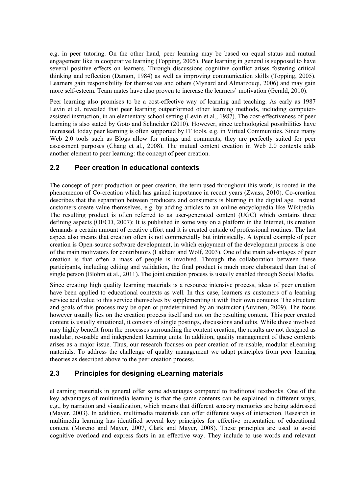e.g. in peer tutoring. On the other hand, peer learning may be based on equal status and mutual engagement like in cooperative learning [\(Topping, 2005\)](#page-12-3). Peer learning in general is supposed to have several positive effects on learners. Through discussions cognitive conflict arises fostering critical thinking and reflection [\(Damon, 1984\)](#page-12-4) as well as improving communication skills [\(Topping, 2005\)](#page-12-3). Learners gain responsibility for themselves and others [\(Mynard and Almarzouqi, 2006\)](#page-12-5) and may gain more self-esteem. Team mates have also proven to increase the learners' motivation [\(Gerald, 2010\)](#page-12-6).

Peer learning also promises to be a cost-effective way of learning and teaching. As early as 1987 Levin et al. revealed that peer learning outperformed other learning methods, including computerassisted instruction, in an elementary school setting [\(Levin et al., 1987\)](#page-12-7). The cost-effectiveness of peer learning is also stated by Goto and Schneider [\(2010\)](#page-12-8). However, since technological possibilities have increased, today peer learning is often supported by IT tools, e.g. in Virtual Communities. Since many Web 2.0 tools such as Blogs allow for ratings and comments, they are perfectly suited for peer assessment purposes [\(Chang et al., 2008\)](#page-11-1). The mutual content creation in Web 2.0 contexts adds another element to peer learning: the concept of peer creation.

#### **2.2 Peer creation in educational contexts**

The concept of peer production or peer creation, the term used throughout this work, is rooted in the phenomenon of Co-creation which has gained importance in recent years [\(Zwass, 2010\)](#page-12-9). Co-creation describes that the separation between producers and consumers is blurring in the digital age. Instead customers create value themselves, e.g. by adding articles to an online encyclopedia like Wikipedia. The resulting product is often referred to as user-generated content (UGC) which contains three defining aspects [\(OECD, 2007\)](#page-12-10): It is published in some way on a platform in the Internet, its creation demands a certain amount of creative effort and it is created outside of professional routines. The last aspect also means that creation often is not commercially but intrinsically. A typical example of peer creation is Open-source software development, in which enjoyment of the development process is one of the main motivators for contributors [\(Lakhani and Wolf, 2003\)](#page-12-11). One of the main advantages of peer creation is that often a mass of people is involved. Through the collaboration between these participants, including editing and validation, the final product is much more elaborated than that of single person [\(Blohm et al., 2011\)](#page-11-2). The joint creation process is usually enabled through Social Media.

Since creating high quality learning materials is a resource intensive process, ideas of peer creation have been applied to educational contexts as well. In this case, learners as customers of a learning service add value to this service themselves by supplementing it with their own contents. The structure and goals of this process may be open or predetermined by an instructor [\(Auvinen, 2009\)](#page-11-3). The focus however usually lies on the creation process itself and not on the resulting content. This peer created content is usually situational, it consists of single postings, discussions and edits. While those involved may highly benefit from the processes surrounding the content creation, the results are not designed as modular, re-usable and independent learning units. In addition, quality management of these contents arises as a major issue. Thus, our research focuses on peer creation of re-usable, modular eLearning materials. To address the challenge of quality management we adapt principles from peer learning theories as described above to the peer creation process.

#### **2.3 Principles for designing eLearning materials**

eLearning materials in general offer some advantages compared to traditional textbooks. One of the key advantages of multimedia learning is that the same contents can be explained in different ways, e.g., by narration and visualization, which means that different sensory memories are being addressed [\(Mayer, 2003\)](#page-12-12). In addition, multimedia materials can offer different ways of interaction. Research in multimedia learning has identified several key principles for effective presentation of educational content [\(Moreno and Mayer, 2007,](#page-12-13) [Clark and Mayer, 2008\)](#page-11-4). These principles are used to avoid cognitive overload and express facts in an effective way. They include to use words and relevant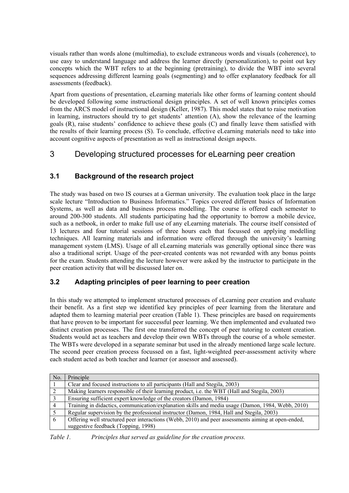visuals rather than words alone (multimedia), to exclude extraneous words and visuals (coherence), to use easy to understand language and address the learner directly (personalization), to point out key concepts which the WBT refers to at the beginning (pretraining), to divide the WBT into several sequences addressing different learning goals (segmenting) and to offer explanatory feedback for all assessments (feedback).

Apart from questions of presentation, eLearning materials like other forms of learning content should be developed following some instructional design principles. A set of well known principles comes from the ARCS model of instructional design [\(Keller, 1987\)](#page-12-14). This model states that to raise motivation in learning, instructors should try to get students' attention (A), show the relevance of the learning goals (R), raise students' confidence to achieve these goals (C) and finally leave them satisfied with the results of their learning process (S). To conclude, effective eLearning materials need to take into account cognitive aspects of presentation as well as instructional design aspects.

# 3 Developing structured processes for eLearning peer creation

# **3.1 Background of the research project**

The study was based on two IS courses at a German university. The evaluation took place in the large scale lecture "Introduction to Business Informatics." Topics covered different basics of Information Systems, as well as data and business process modelling. The course is offered each semester to around 200-300 students. All students participating had the opportunity to borrow a mobile device, such as a netbook, in order to make full use of any eLearning materials. The course itself consisted of 13 lectures and four tutorial sessions of three hours each that focussed on applying modelling techniques. All learning materials and information were offered through the university's learning management system (LMS). Usage of all eLearning materials was generally optional since there was also a traditional script. Usage of the peer-created contents was not rewarded with any bonus points for the exam. Students attending the lecture however were asked by the instructor to participate in the peer creation activity that will be discussed later on.

# **3.2 Adapting principles of peer learning to peer creation**

In this study we attempted to implement structured processes of eLearning peer creation and evaluate their benefit. As a first step we identified key principles of peer learning from the literature and adapted them to learning material peer creation (Table 1). These principles are based on requirements that have proven to be important for successful peer learning. We then implemented and evaluated two distinct creation processes. The first one transferred the concept of peer tutoring to content creation. Students would act as teachers and develop their own WBTs through the course of a whole semester. The WBTs were developed in a separate seminar but used in the already mentioned large scale lecture. The second peer creation process focussed on a fast, light-weighted peer-assessment activity where each student acted as both teacher and learner (or assessor and assessed).

| No. | Principle                                                                                          |
|-----|----------------------------------------------------------------------------------------------------|
|     | Clear and focused instructions to all participants (Hall and Stegila, 2003)                        |
|     | Making learners responsible of their learning product, i.e. the WBT (Hall and Stegila, 2003)       |
|     | Ensuring sufficient expert knowledge of the creators (Damon, 1984)                                 |
|     | Training in didactics, communication/explanation skills and media usage (Damon, 1984, Webb, 2010)  |
|     | Regular supervision by the professional instructor (Damon, 1984, Hall and Stegila, 2003)           |
| 6   | Offering well structured peer interactions (Webb, 2010) and peer assessments aiming at open-ended, |
|     | suggestive feedback (Topping, 1998)                                                                |

*Table 1. Principles that served as guideline for the creation process.*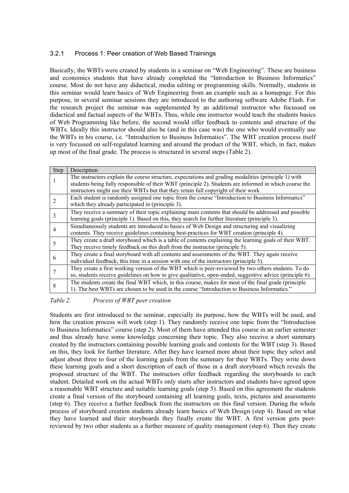#### 3.2.1 Process 1: Peer creation of Web Based Trainings

Basically, the WBTs were created by students in a seminar on "Web Engineering". These are business and economics students that have already completed the "Introduction to Business Informatics" course. Most do not have any didactical, media editing or programming skills. Normally, students in this seminar would learn basics of Web Engineering from an example such as a homepage. For this purpose, in several seminar sessions they are introduced to the authoring software Adobe Flash. For the research project the seminar was supplemented by an additional instructor who focussed on didactical and factual aspects of the WBTs. Thus, while one instructor would teach the students basics of Web Programming like before, the second would offer feedback to contents and structure of the WBTs. Ideally this instructor should also be (and in this case was) the one who would eventually use the WBTs in his course, i.e. "Introduction to Business Informatics". The WBT creation process itself is very focussed on self-regulated learning and around the product of the WBT, which, in fact, makes up most of the final grade. The process is structured in several steps (Table 2).

| Step | Description                                                                                              |  |  |  |  |  |  |  |
|------|----------------------------------------------------------------------------------------------------------|--|--|--|--|--|--|--|
|      | The instructors explain the course structure, expectations and grading modalities (principle 1) with     |  |  |  |  |  |  |  |
|      | students being fully responsible of their WBT (principle 2). Students are informed in which course the   |  |  |  |  |  |  |  |
|      | instructors might use their WBTs but that they retain full copyright of their work.                      |  |  |  |  |  |  |  |
| 2    | Each student is randomly assigned one topic from the course "Introduction to Business Informatics"       |  |  |  |  |  |  |  |
|      | which they already participated in (principle 3).                                                        |  |  |  |  |  |  |  |
|      | They receive a summary of their topic explaining main contents that should be addressed and possible     |  |  |  |  |  |  |  |
|      | learning goals (principle 1). Based on this, they search for further literature (principle 3).           |  |  |  |  |  |  |  |
| 4    | Simultaneously students are introduced to basics of Web Design and structuring and visualizing           |  |  |  |  |  |  |  |
|      | contents. They receive guidelines containing best-practices for WBT creation (principle 4).              |  |  |  |  |  |  |  |
|      | They create a draft storyboard which is a table of contents explaining the learning goals of their WBT.  |  |  |  |  |  |  |  |
|      | They receive timely feedback on this draft from the instructor (principle 5).                            |  |  |  |  |  |  |  |
|      | They create a final storyboard with all contents and assessments of the WBT. They again receive          |  |  |  |  |  |  |  |
| 6    | individual feedback, this time in a session with one of the instructors (principle 5).                   |  |  |  |  |  |  |  |
|      | They create a first working version of the WBT which is peer-reviewed by two others students. To do      |  |  |  |  |  |  |  |
|      | so, students receive guidelines on how to give qualitative, open-ended, suggestive advice (principle 6). |  |  |  |  |  |  |  |
| 8    | The students create the final WBT which, in this course, makes for most of the final grade (principle    |  |  |  |  |  |  |  |
|      | 1). The best WBTs are chosen to be used in the course "Introduction to Business Informatics."            |  |  |  |  |  |  |  |

*Table 2. Process of WBT peer creation*

Students are first introduced to the seminar, especially its purpose, how the WBTs will be used, and how the creation process will work (step 1). They randomly receive one topic from the "Introduction to Business Informatics" course (step 2). Most of them have attended this course in an earlier semester and thus already have some knowledge concerning their topic. They also receive a short summary created by the instructors containing possible learning goals and contents for the WBT (step 3). Based on this, they look for further literature. After they have learned more about their topic they select and adjust about three to four of the learning goals from the summary for their WBTs. They write down these learning goals and a short description of each of those in a draft storyboard which reveals the proposed structure of the WBT. The instructors offer feedback regarding the storyboards to each student. Detailed work on the actual WBTs only starts after instructors and students have agreed upon a reasonable WBT structure and suitable learning goals (step 5). Based on this agreement the students create a final version of the storyboard containing all learning goals, texts, pictures and assessments (step 6). They receive a further feedback from the instructors on this final version. During the whole process of storyboard creation students already learn basics of Web Design (step 4). Based on what they have learned and their storyboards they finally create the WBT. A first version gets peerreviewed by two other students as a further measure of quality management (step 6). Then they create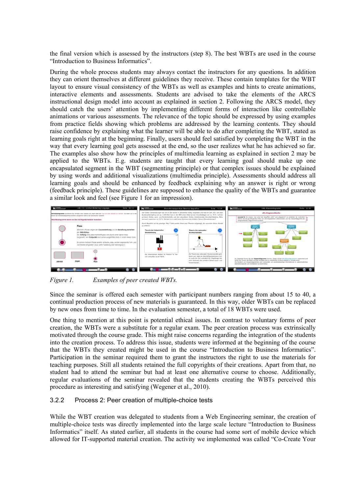the final version which is assessed by the instructors (step 8). The best WBTs are used in the course "Introduction to Business Informatics".

During the whole process students may always contact the instructors for any questions. In addition they can orient themselves at different guidelines they receive. These contain templates for the WBT layout to ensure visual consistency of the WBTs as well as examples and hints to create animations, interactive elements and assessments. Students are advised to take the elements of the ARCS instructional design model into account as explained in section 2. Following the ARCS model, they should catch the users' attention by implementing different forms of interaction like controllable animations or various assessments. The relevance of the topic should be expressed by using examples from practice fields showing which problems are addressed by the learning contents. They should raise confidence by explaining what the learner will be able to do after completing the WBT, stated as learning goals right at the beginning. Finally, users should feel satisfied by completing the WBT in the way that every learning goal gets assessed at the end, so the user realizes what he has achieved so far. The examples also show how the principles of multimedia learning as explained in section 2 may be applied to the WBTs. E.g. students are taught that every learning goal should make up one encapsulated segment in the WBT (segmenting principle) or that complex issues should be explained by using words and additional visualizations (multimedia principle). Assessments should address all learning goals and should be enhanced by feedback explaining why an answer is right or wrong (feedback principle). These guidelines are supposed to enhance the quality of the WBTs and guarantee a similar look and feel (see Figure 1 for an impression).



*Figure 1. Examples of peer created WBTs.*

Since the seminar is offered each semester with participant numbers ranging from about 15 to 40, a continual production process of new materials is guaranteed. In this way, older WBTs can be replaced by new ones from time to time. In the evaluation semester, a total of 18 WBTs were used.

One thing to mention at this point is potential ethical issues. In contrast to voluntary forms of peer creation, the WBTs were a substitute for a regular exam. The peer creation process was extrinsically motivated through the course grade. This might raise concerns regarding the integration of the students into the creation process. To address this issue, students were informed at the beginning of the course that the WBTs they created might be used in the course "Introduction to Business Informatics". Participation in the seminar required them to grant the instructors the right to use the materials for teaching purposes. Still all students retained the full copyrights of their creations. Apart from that, no student had to attend the seminar but had at least one alternative course to choose. Additionally, regular evaluations of the seminar revealed that the students creating the WBTs perceived this procedure as interesting and satisfying [\(Wegener et al., 2010\)](#page-12-18).

#### 3.2.2 Process 2: Peer creation of multiple-choice tests

While the WBT creation was delegated to students from a Web Engineering seminar, the creation of multiple-choice tests was directly implemented into the large scale lecture "Introduction to Business Informatics" itself. As stated earlier, all students in the course had some sort of mobile device which allowed for IT-supported material creation. The activity we implemented was called "Co-Create Your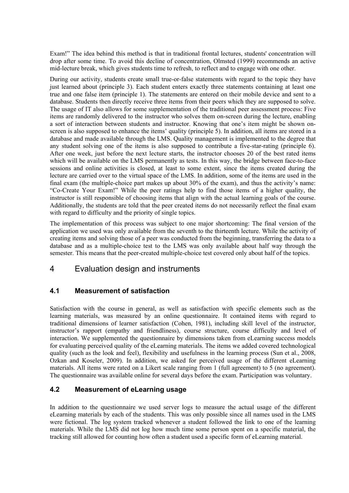Exam!" The idea behind this method is that in traditional frontal lectures, students' concentration will drop after some time. To avoid this decline of concentration, Olmsted [\(1999\)](#page-12-19) recommends an active mid-lecture break, which gives students time to refresh, to reflect and to engage with one other.

During our activity, students create small true-or-false statements with regard to the topic they have just learned about (principle 3). Each student enters exactly three statements containing at least one true and one false item (principle 1). The statements are entered on their mobile device and sent to a database. Students then directly receive three items from their peers which they are supposed to solve. The usage of IT also allows for some supplementation of the traditional peer assessment process: Five items are randomly delivered to the instructor who solves them on-screen during the lecture, enabling a sort of interaction between students and instructor. Knowing that one's item might be shown onscreen is also supposed to enhance the items' quality (principle 5). In addition, all items are stored in a database and made available through the LMS. Quality management is implemented to the degree that any student solving one of the items is also supposed to contribute a five-star-rating (principle 6). After one week, just before the next lecture starts, the instructor chooses 20 of the best rated items which will be available on the LMS permanently as tests. In this way, the bridge between face-to-face sessions and online activities is closed, at least to some extent, since the items created during the lecture are carried over to the virtual space of the LMS. In addition, some of the items are used in the final exam (the multiple-choice part makes up about 30% of the exam), and thus the activity's name: "Co-Create Your Exam!" While the peer ratings help to find those items of a higher quality, the instructor is still responsible of choosing items that align with the actual learning goals of the course. Additionally, the students are told that the peer created items do not necessarily reflect the final exam with regard to difficulty and the priority of single topics.

The implementation of this process was subject to one major shortcoming: The final version of the application we used was only available from the seventh to the thirteenth lecture. While the activity of creating items and solving those of a peer was conducted from the beginning, transferring the data to a database and as a multiple-choice test to the LMS was only available about half way through the semester. This means that the peer-created multiple-choice test covered only about half of the topics.

# 4 Evaluation design and instruments

# **4.1 Measurement of satisfaction**

Satisfaction with the course in general, as well as satisfaction with specific elements such as the learning materials, was measured by an online questionnaire. It contained items with regard to traditional dimensions of learner satisfaction [\(Cohen, 1981\)](#page-11-5), including skill level of the instructor, instructor's rapport (empathy and friendliness), course structure, course difficulty and level of interaction. We supplemented the questionnaire by dimensions taken from eLearning success models for evaluating perceived quality of the eLearning materials. The items we added covered technological quality (such as the look and feel), flexibility and usefulness in the learning process [\(Sun et al., 2008,](#page-12-20) [Ozkan and Koseler, 2009\)](#page-12-21). In addition, we asked for perceived usage of the different eLearning materials. All items were rated on a Likert scale ranging from 1 (full agreement) to 5 (no agreement). The questionnaire was available online for several days before the exam. Participation was voluntary.

# **4.2 Measurement of eLearning usage**

In addition to the questionnaire we used server logs to measure the actual usage of the different eLearning materials by each of the students. This was only possible since all names used in the LMS were fictional. The log system tracked whenever a student followed the link to one of the learning materials. While the LMS did not log how much time some person spent on a specific material, the tracking still allowed for counting how often a student used a specific form of eLearning material.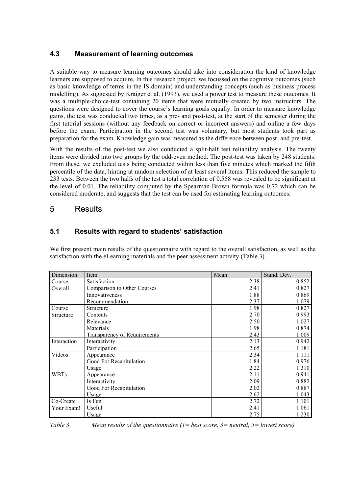# **4.3 Measurement of learning outcomes**

A suitable way to measure learning outcomes should take into consideration the kind of knowledge learners are supposed to acquire. In this research project, we focussed on the cognitive outcomes (such as basic knowledge of terms in the IS domain) and understanding concepts (such as business process modelling). As suggested by Kraiger et al. [\(1993\)](#page-12-22), we used a power test to measure these outcomes. It was a multiple-choice-test containing 20 items that were mutually created by two instructors. The questions were designed to cover the course's learning goals equally. In order to measure knowledge gains, the test was conducted two times, as a pre- and post-test, at the start of the semester during the first tutorial sessions (without any feedback on correct or incorrect answers) and online a few days before the exam. Participation in the second test was voluntary, but most students took part as preparation for the exam. Knowledge gain was measured as the difference between post- and pre-test.

With the results of the post-test we also conducted a split-half test reliability analysis. The twenty items were divided into two groups by the odd-even method. The post-test was taken by 248 students. From these, we excluded tests being conducted within less than five minutes which marked the fifth percentile of the data, hinting at random selection of at least several items. This reduced the sample to 233 tests. Between the two halfs of the test a total correlation of 0.558 was revealed to be significant at the level of 0.01. The reliability computed by the Spearman-Brown formula was 0.72 which can be considered moderate, and suggests that the test can be used for estimating learning outcomes.

# 5 Results

# **5.1 Results with regard to students' satisfaction**

We first present main results of the questionnaire with regard to the overall satisfaction, as well as the satisfaction with the eLearning materials and the peer assessment activity (Table 3).

| Dimension   | Item                                | Mean | Stand, Dev. |
|-------------|-------------------------------------|------|-------------|
| Course      | Satisfaction                        | 2.38 | 0.852       |
| Overall     | Comparison to Other Courses         | 2.41 | 0.827       |
|             | Innovativeness                      | 1.88 | 0.869       |
|             | Recommendation                      | 2.37 | 1.079       |
| Course      | Structure                           | 1.98 | 0.827       |
| Structure   | Contents                            | 2.70 | 0.993       |
|             | Relevance                           | 2.50 | 1.027       |
|             | Materials                           | 1.98 | 0.874       |
|             | <b>Transparency of Requirements</b> | 2.43 | 1.009       |
| Interaction | Interactivity                       | 2.13 | 0.942       |
|             | Participation                       | 2.65 | 1.181       |
| Videos      | Appearance                          | 2.34 | 1.111       |
|             | Good For Recapitulation             | 1.84 | 0.976       |
|             | Usage                               | 2.22 | 1.310       |
| <b>WBTs</b> | Appearance                          | 2.11 | 0.941       |
|             | Interactivity                       | 2.09 | 0.882       |
|             | Good For Recapitulation             | 2.02 | 0.887       |
|             | Usage                               | 2.62 | 1.043       |
| Co-Create   | Is Fun                              | 2.72 | 1.101       |
| Your Exam!  | Useful                              | 2.41 | 1.061       |
|             | Usage                               | 2.75 | 1.230       |

*Table 3. Mean results of the questionnaire (1= best score, 3= neutral, 5= lowest score)*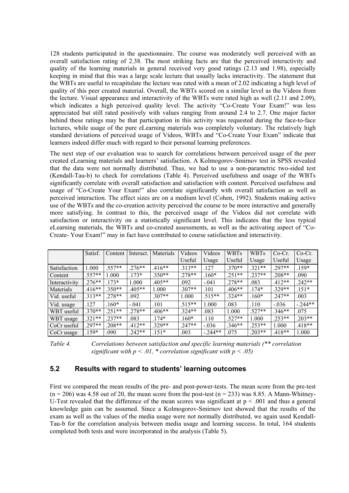128 students participated in the questionnaire. The course was moderately well perceived with an overall satisfaction rating of 2.38. The most striking facts are that the perceived interactivity and quality of the learning materials in general received very good ratings (2.13 and 1.98), especially keeping in mind that this was a large scale lecture that usually lacks interactivity. The statement that the WBTs are useful to recapitulate the lecture was rated with a mean of 2.02 indicating a high level of quality of this peer created material. Overall, the WBTs scored on a similar level as the Videos from the lecture. Visual appearance and interactivity of the WBTs were rated high as well (2.11 and 2.09), which indicates a high perceived quality level. The activity "Co-Create Your Exam!" was less appreciated but still rated positively with values ranging from around 2.4 to 2.7. One major factor behind these ratings may be that participation in this activity was requested during the face-to-face lectures, while usage of the pure eLearning materials was completely voluntary. The relatively high standard deviations of perceived usage of Videos, WBTs and "Co-Create Your Exam" indicate that learners indeed differ much with regard to their personal learning preferences.

The next step of our evaluation was to search for correlations between perceived usage of the peer created eLearning materials and learners' satisfaction. A Kolmogorov-Smirnov test in SPSS revealed that the data were not normally distributed. Thus, we had to use a non-parametric two-sided test (Kendall-Tau-b) to check for correlations (Table 4). Perceived usefulness and usage of the WBTs significantly correlate with overall satisfaction and satisfaction with content. Perceived usefulness and usage of "Co-Create Your Exam!" also correlate significantly with overall satisfaction as well as perceived interaction. The effect sizes are on a medium level [\(Cohen, 1992\)](#page-11-6). Students making active use of the WBTs and the co-creation activity perceived the course to be more interactive and generally more satisfying. In contrast to this, the perceived usage of the Videos did not correlate with satisfaction or interactivity on a statistically significant level. This indicates that the less typical eLearning materials, the WBTs and co-created assessments, as well as the activating aspect of "Co-Create- Your Exam!" may in fact have contributed to course satisfaction and interactivity.

|               | Satisf.  | Content  | Interact. | Materials | Videos   | Videos   | <b>WBTs</b> | <b>WBTs</b> | Co-Cr.   | $Co-Cr.$ |
|---------------|----------|----------|-----------|-----------|----------|----------|-------------|-------------|----------|----------|
|               |          |          |           |           | Useful   | Usage    | Useful      | Usage       | Useful   | Usage    |
| Satisfaction  | 1.000    | $.557**$ | $.276**$  | $.416**$  | $.313**$ | .127     | $.370**$    | $.321**$    | .297**   | $.159*$  |
| Content       | $.557**$ | 000.1    | $.173*$   | $.350**$  | $.278**$ | $.160*$  | $.251**$    | $237**$     | $.208**$ | .090     |
| Interactivity | $.276**$ | $.173*$  | 1.000     | $.405**$  | .092     | $-.041$  | $.278**$    | .083        | $.412**$ | $.242**$ |
| Materials     | $.416**$ | $.350**$ | $.405**$  | 1.000     | $.307**$ | .101     | $.406**$    | $.174*$     | .329**   | $.151*$  |
| Vid. useful   | $.313**$ | $.278**$ | .092      | $.307**$  | 1.000    | $.515**$ | $.324**$    | $.160*$     | $.247**$ | .003     |
| Vid. usage    | .127     | $160*$   | $-.041$   | .101      | $515**$  | 1.000    | .083        | .110        | $-.036$  | $-244**$ |
| WBT useful    | $.370**$ | $251**$  | $.278**$  | $406**$   | $.324**$ | .083     | 1.000       | $.527**$    | $.346**$ | .075     |
| WBT usage     | $.321**$ | $237**$  | .083      | $.174*$   | $.160*$  | .110     | $.527**$    | 1.000       | $.253**$ | $.203**$ |
| CoCr useful   | .297**   | $.208**$ | $.412**$  | 329**     | $.247**$ | $-.036$  | $.346**$    | $.253**$    | 1.000    | $.418**$ |
| CoCr usage    | $159*$   | .090     | $.242**$  | $151*$    | .003     | $-244**$ | .075        | $.203**$    | .418**   | 1.000    |

*Table 4. Correlations between satisfaction and specific learning materials (\*\* correlation significant with*  $p \leq 0.01$ *, \* correlation significant with*  $p \leq 0.05$ *)* 

#### **5.2 Results with regard to students' learning outcomes**

First we compared the mean results of the pre- and post-power-tests. The mean score from the pre-test  $(n = 206)$  was 4.58 out of 20, the mean score from the post-test  $(n = 233)$  was 8.85. A Mann-Whitney-U-Test revealed that the difference of the mean scores was significant at  $p \leq .001$  and thus a general knowledge gain can be assumed. Since a Kolmogorov-Smirnov test showed that the results of the exam as well as the values of the media usage were not normally distributed, we again used Kendall-Tau-b for the correlation analysis between media usage and learning success. In total, 164 students completed both tests and were incorporated in the analysis (Table 5).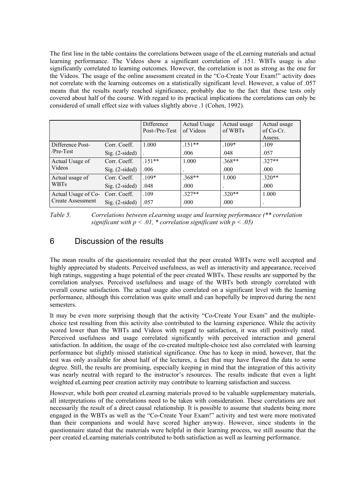The first line in the table contains the correlations between usage of the eLearning materials and actual learning performance. The Videos show a significant correlation of .151. WBTs usage is also significantly correlated to learning outcomes. However, the correlation is not as strong as the one for the Videos. The usage of the online assessment created in the "Co-Create Your Exam!" activity does not correlate with the learning outcomes on a statistically significant level. However, a value of .057 means that the results nearly reached significance, probably due to the fact that these tests only covered about half of the course. With regard to its practical implications the correlations can only be considered of small effect size with values slightly above .1 [\(Cohen, 1992\)](#page-11-6).

|                     |                  | Difference<br>Post-/Pre-Test | <b>Actual Usage</b><br>of Videos | Actual usage<br>of WBTs | Actual usage<br>$of Co-Cr.$ |
|---------------------|------------------|------------------------------|----------------------------------|-------------------------|-----------------------------|
| Difference Post-    | Corr. Coeff.     | 1.000                        | $.151**$                         | $.109*$                 | Assess.<br>.109             |
|                     |                  |                              |                                  |                         |                             |
| $/Pre-Test$         | $Sig. (2-sided)$ |                              | .006                             | .048                    | .057                        |
| Actual Usage of     | Corr. Coeff.     | $.151**$                     | 1.000                            | $.368**$                | $.327**$                    |
| Videos              | $Sig. (2-sided)$ | .006                         |                                  | .000                    | .000                        |
| Actual usage of     | Corr. Coeff.     | $.109*$                      | $.368**$                         | 1.000                   | $.320**$                    |
| WBTs                | $Sig. (2-sided)$ | .048                         | .000                             | $\cdot$                 | .000                        |
| Actual Usage of Co- | Corr. Coeff.     | .109                         | $.327**$                         | $.320**$                | 1.000                       |
| Create Assessment   | $Sig. (2-sided)$ | .057                         | .000                             | .000                    | $\overline{\phantom{a}}$    |

*Table 5. Correlations between eLearning usage and learning performance (\*\* correlation significant with p < .01, \* correlation significant with p < .05)*

# 6 Discussion of the results

The mean results of the questionnaire revealed that the peer created WBTs were well accepted and highly appreciated by students. Perceived usefulness, as well as interactivity and appearance, received high ratings, suggesting a huge potential of the peer created WBTs. These results are supported by the correlation analyses. Perceived usefulness and usage of the WBTs both strongly correlated with overall course satisfaction. The actual usage also correlated on a significant level with the learning performance, although this correlation was quite small and can hopefully be improved during the next semesters.

It may be even more surprising though that the activity "Co-Create Your Exam" and the multiplechoice test resulting from this activity also contributed to the learning experience. While the activity scored lower than the WBTs and Videos with regard to satisfaction, it was still positively rated. Perceived usefulness and usage correlated significantly with perceived interaction and general satisfaction. In addition, the usage of the co-created multiple-choice test also correlated with learning performance but slightly missed statistical significance. One has to keep in mind, however, that the test was only available for about half of the lectures, a fact that may have flawed the data to some degree. Still, the results are promising, especially keeping in mind that the integration of this activity was nearly neutral with regard to the instructor's resources. The results indicate that even a light weighted eLearning peer creation activity may contribute to learning satisfaction and success.

However, while both peer created eLearning materials proved to be valuable supplementary materials, all interpretations of the correlations need to be taken with consideration. These correlations are not necessarily the result of a direct causal relationship. It is possible to assume that students being more engaged in the WBTs as well as the "Co-Create Your Exam!" activity and test were more motivated than their companions and would have scored higher anyway. However, since students in the questionnaire stated that the materials were helpful in their learning process, we still assume that the peer created eLearning materials contributed to both satisfaction as well as learning performance.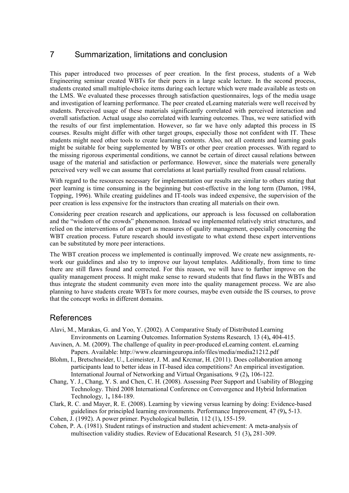# 7 Summarization, limitations and conclusion

This paper introduced two processes of peer creation. In the first process, students of a Web Engineering seminar created WBTs for their peers in a large scale lecture. In the second process, students created small multiple-choice items during each lecture which were made available as tests on the LMS. We evaluated these processes through satisfaction questionnaires, logs of the media usage and investigation of learning performance. The peer created eLearning materials were well received by students. Perceived usage of these materials significantly correlated with perceived interaction and overall satisfaction. Actual usage also correlated with learning outcomes. Thus, we were satisfied with the results of our first implementation. However, so far we have only adapted this process in IS courses. Results might differ with other target groups, especially those not confident with IT. These students might need other tools to create learning contents. Also, not all contents and learning goals might be suitable for being supplemented by WBTs or other peer creation processes. With regard to the missing rigorous experimental conditions, we cannot be certain of direct causal relations between usage of the material and satisfaction or performance. However, since the materials were generally perceived very well we can assume that correlations at least partially resulted from causal relations.

With regard to the resources necessary for implementation our results are similar to others stating that peer learning is time consuming in the beginning but cost-effective in the long term [\(Damon, 1984,](#page-12-4) [Topping, 1996\)](#page-12-23). While creating guidelines and IT-tools was indeed expensive, the supervision of the peer creation is less expensive for the instructors than creating all materials on their own.

Considering peer creation research and applications, our approach is less focussed on collaboration and the "wisdom of the crowds" phenomenon. Instead we implemented relatively strict structures, and relied on the interventions of an expert as measures of quality management, especially concerning the WBT creation process. Future research should investigate to what extend these expert interventions can be substituted by more peer interactions.

The WBT creation process we implemented is continually improved. We create new assignments, rework our guidelines and also try to improve our layout templates. Additionally, from time to time there are still flaws found and corrected. For this reason, we will have to further improve on the quality management process. It might make sense to reward students that find flaws in the WBTs and thus integrate the student community even more into the quality management process. We are also planning to have students create WBTs for more courses, maybe even outside the IS courses, to prove that the concept works in different domains.

# References

- <span id="page-11-0"></span>Alavi, M., Marakas, G. and Yoo, Y. (2002). A Comparative Study of Distributed Learning Environments on Learning Outcomes. Information Systems Research*,* 13 (4)**,** 404-415.
- <span id="page-11-3"></span>Auvinen, A. M. (2009). The challenge of quality in peer-produced eLearning content. eLearning Papers. Available: http://www.elearningeuropa.info/files/media/media21212.pdf
- <span id="page-11-2"></span>Blohm, I., Bretschneider, U., Leimeister, J. M. and Krcmar, H. (2011). Does collaboration among participants lead to better ideas in IT-based idea competitions? An empirical investigation. International Journal of Networking and Virtual Organisations*,* 9 (2)**,** 106-122.
- <span id="page-11-1"></span>Chang, Y. J., Chang, Y. S. and Chen, C. H. (2008). Assessing Peer Support and Usability of Blogging Technology. Third 2008 International Conference on Convergence and Hybrid Information Technology*,* 1**,** 184-189.
- <span id="page-11-4"></span>Clark, R. C. and Mayer, R. E. (2008). Learning by viewing versus learning by doing: Evidence-based guidelines for principled learning environments. Performance Improvement*,* 47 (9)**,** 5-13.
- <span id="page-11-6"></span>Cohen, J. (1992). A power primer. Psychological bulletin*,* 112 (1)**,** 155-159.
- <span id="page-11-5"></span>Cohen, P. A. (1981). Student ratings of instruction and student achievement: A meta-analysis of multisection validity studies. Review of Educational Research*,* 51 (3)**,** 281-309.